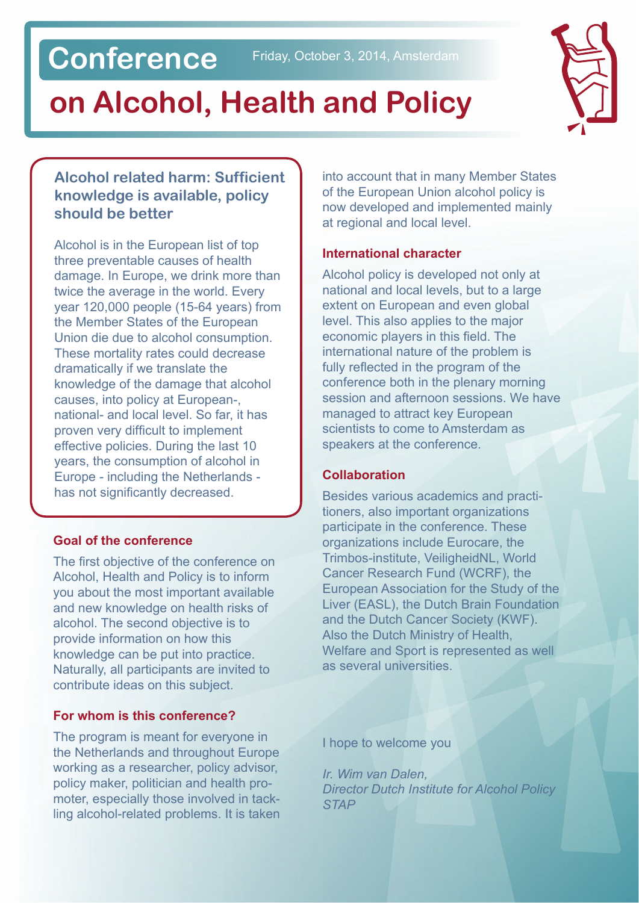# **Conference**

# **on Alcohol, Health and Policy**



#### **Alcohol related harm: Sufficient knowledge is available, policy should be better**

Alcohol is in the European list of top three preventable causes of health damage. In Europe, we drink more than twice the average in the world. Every year 120,000 people (15-64 years) from the Member States of the European Union die due to alcohol consumption. These mortality rates could decrease dramatically if we translate the knowledge of the damage that alcohol causes, into policy at European-, national- and local level. So far, it has proven very difficult to implement effective policies. During the last 10 years, the consumption of alcohol in Europe - including the Netherlands has not significantly decreased.

#### **Goal of the conference**

The first objective of the conference on Alcohol, Health and Policy is to inform you about the most important available and new knowledge on health risks of alcohol. The second objective is to provide information on how this knowledge can be put into practice. Naturally, all participants are invited to contribute ideas on this subject.

#### **For whom is this conference?**

The program is meant for everyone in the Netherlands and throughout Europe working as a researcher, policy advisor, policy maker, politician and health promoter, especially those involved in tackling alcohol-related problems. It is taken into account that in many Member States of the European Union alcohol policy is now developed and implemented mainly at regional and local level.

#### **International character**

Alcohol policy is developed not only at national and local levels, but to a large extent on European and even global level. This also applies to the major economic players in this field. The international nature of the problem is fully reflected in the program of the conference both in the plenary morning session and afternoon sessions. We have managed to attract key European scientists to come to Amsterdam as speakers at the conference.

#### **Collaboration**

Besides various academics and practitioners, also important organizations participate in the conference. These organizations include Eurocare, the Trimbos-institute, VeiligheidNL, World Cancer Research Fund (WCRF), the European Association for the Study of the Liver (EASL), the Dutch Brain Foundation and the Dutch Cancer Society (KWF). Also the Dutch Ministry of Health, Welfare and Sport is represented as well as several universities.

I hope to welcome you

*Ir. Wim van Dalen, Director Dutch Institute for Alcohol Policy STAP*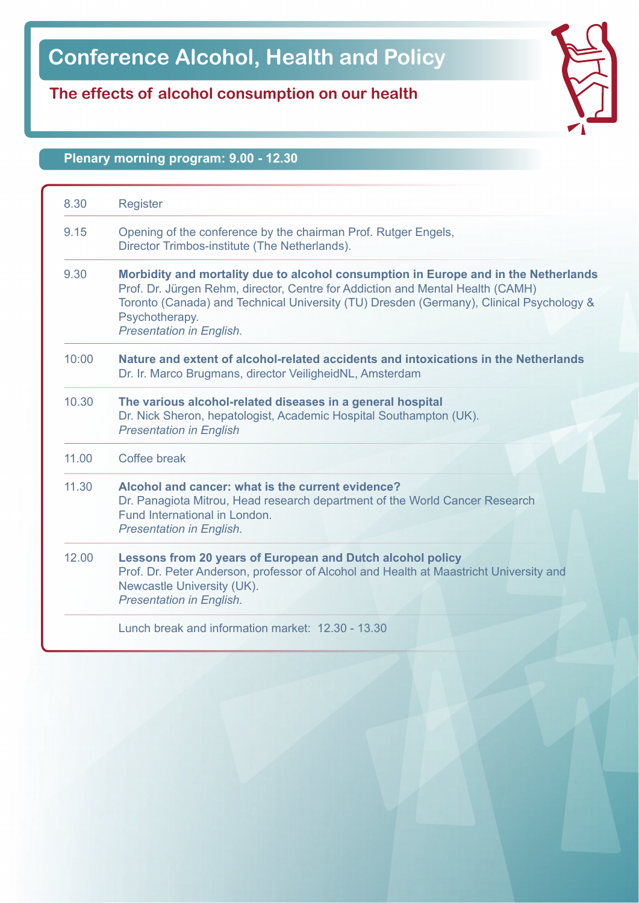# **Conference Alcohol, Health and Policy**

### **The effects of alcohol consumption on our health**

#### **Plenary morning program: 9.00 - 12.30**

| 8.30  | <b>Register</b>                                                                                                                                                                                                                                                                                                       |  |
|-------|-----------------------------------------------------------------------------------------------------------------------------------------------------------------------------------------------------------------------------------------------------------------------------------------------------------------------|--|
| 9.15  | Opening of the conference by the chairman Prof. Rutger Engels,<br>Director Trimbos-institute (The Netherlands).                                                                                                                                                                                                       |  |
| 9.30  | Morbidity and mortality due to alcohol consumption in Europe and in the Netherlands<br>Prof. Dr. Jürgen Rehm, director, Centre for Addiction and Mental Health (CAMH)<br>Toronto (Canada) and Technical University (TU) Dresden (Germany), Clinical Psychology &<br>Psychotherapy.<br><b>Presentation in English.</b> |  |
| 10:00 | Nature and extent of alcohol-related accidents and intoxications in the Netherlands<br>Dr. Ir. Marco Brugmans, director VeiligheidNL, Amsterdam                                                                                                                                                                       |  |
| 10.30 | The various alcohol-related diseases in a general hospital<br>Dr. Nick Sheron, hepatologist, Academic Hospital Southampton (UK).<br><b>Presentation in English</b>                                                                                                                                                    |  |
| 11.00 | Coffee break                                                                                                                                                                                                                                                                                                          |  |
| 11.30 | Alcohol and cancer: what is the current evidence?<br>Dr. Panagiota Mitrou, Head research department of the World Cancer Research<br>Fund International in London.<br><b>Presentation in English.</b>                                                                                                                  |  |
| 12.00 | Lessons from 20 years of European and Dutch alcohol policy<br>Prof. Dr. Peter Anderson, professor of Alcohol and Health at Maastricht University and<br>Newcastle University (UK).<br><b>Presentation in English.</b>                                                                                                 |  |
|       | Lunch break and information market: 12.30 - 13.30                                                                                                                                                                                                                                                                     |  |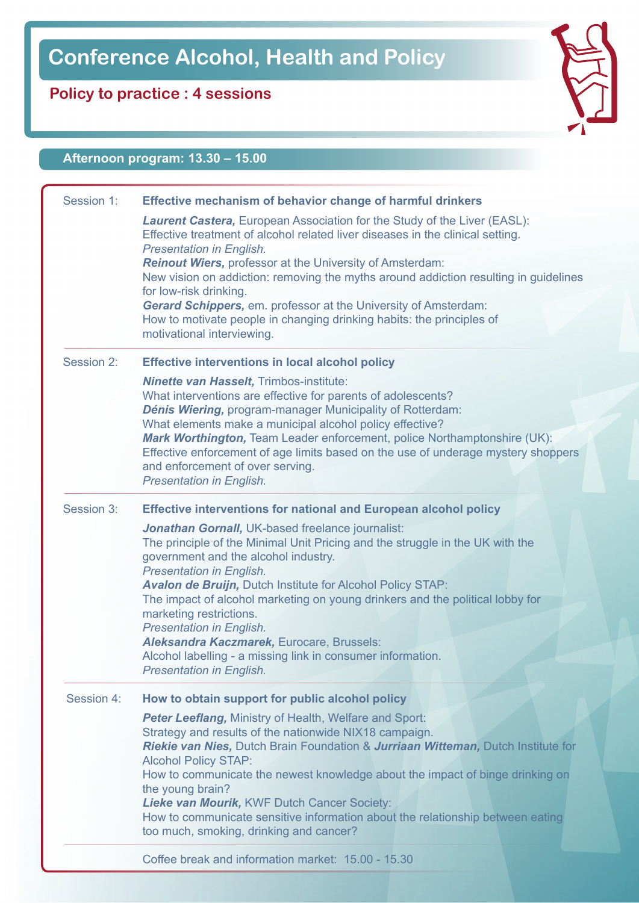# **Conference Alcohol, Health and Policy**

## **Policy to practice : 4 sessions**

### **Afternoon program: 13.30 – 15.00**

| Session 1: | Effective mechanism of behavior change of harmful drinkers                                                                                                                                                   |
|------------|--------------------------------------------------------------------------------------------------------------------------------------------------------------------------------------------------------------|
|            | Laurent Castera, European Association for the Study of the Liver (EASL):<br>Effective treatment of alcohol related liver diseases in the clinical setting.<br><b>Presentation in English.</b>                |
|            | Reinout Wiers, professor at the University of Amsterdam:                                                                                                                                                     |
|            | New vision on addiction: removing the myths around addiction resulting in guidelines<br>for low-risk drinking.                                                                                               |
|            | Gerard Schippers, em. professor at the University of Amsterdam:                                                                                                                                              |
|            | How to motivate people in changing drinking habits: the principles of<br>motivational interviewing.                                                                                                          |
| Session 2: | <b>Effective interventions in local alcohol policy</b>                                                                                                                                                       |
|            | <b>Ninette van Hasselt, Trimbos-institute:</b>                                                                                                                                                               |
|            | What interventions are effective for parents of adolescents?<br>Dénis Wiering, program-manager Municipality of Rotterdam:                                                                                    |
|            | What elements make a municipal alcohol policy effective?<br>Mark Worthington, Team Leader enforcement, police Northamptonshire (UK):                                                                         |
|            | Effective enforcement of age limits based on the use of underage mystery shoppers<br>and enforcement of over serving.<br><b>Presentation in English.</b>                                                     |
|            |                                                                                                                                                                                                              |
| Session 3: | <b>Effective interventions for national and European alcohol policy</b>                                                                                                                                      |
|            | Jonathan Gornall, UK-based freelance journalist:<br>The principle of the Minimal Unit Pricing and the struggle in the UK with the<br>government and the alcohol industry.<br><b>Presentation in English.</b> |
|            | Avalon de Bruijn, Dutch Institute for Alcohol Policy STAP:<br>The impact of alcohol marketing on young drinkers and the political lobby for<br>marketing restrictions.                                       |
|            | <b>Presentation in English.</b>                                                                                                                                                                              |
|            | Aleksandra Kaczmarek, Eurocare, Brussels:                                                                                                                                                                    |
|            | Alcohol labelling - a missing link in consumer information.                                                                                                                                                  |
|            | <b>Presentation in English.</b>                                                                                                                                                                              |
| Session 4: | How to obtain support for public alcohol policy                                                                                                                                                              |
|            | Peter Leeflang, Ministry of Health, Welfare and Sport:                                                                                                                                                       |
|            | Strategy and results of the nationwide NIX18 campaign.<br>Riekie van Nies, Dutch Brain Foundation & Jurriaan Witteman, Dutch Institute for                                                                   |
|            | <b>Alcohol Policy STAP:</b>                                                                                                                                                                                  |
|            | How to communicate the newest knowledge about the impact of binge drinking on                                                                                                                                |
|            | the young brain?                                                                                                                                                                                             |
|            | Lieke van Mourik, KWF Dutch Cancer Society:<br>How to communicate sensitive information about the relationship between eating                                                                                |
|            | too much, smoking, drinking and cancer?                                                                                                                                                                      |
|            | Coffee break and information market: 15.00 - 15.30                                                                                                                                                           |